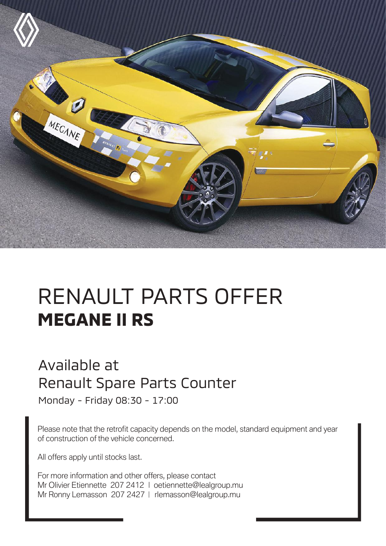

## RENAULT PARTS OFFER **MEGANE II RS**

## Available at Renault Spare Parts Counter

Monday - Friday 08:30 - 17:00

Please note that the retrofit capacity depends on the model, standard equipment and year of construction of the vehicle concerned.

All offers apply until stocks last.

For more information and other offers, please contact Mr Olivier Etiennette 207 2412 | oetiennette@lealgroup.mu Mr Ronny Lemasson 207 2427 | rlemasson@lealgroup.mu